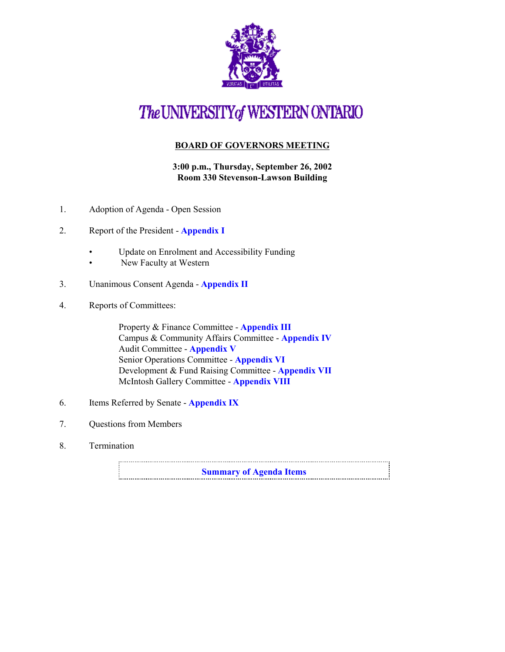

# The UNIVERSITY of WESTERN ONTARIO

#### **BOARD OF GOVERNORS MEETING**

**3:00 p.m., Thursday, September 26, 2002 Room 330 Stevenson-Lawson Building**

- 1. Adoption of Agenda Open Session
- 2. Report of the President **[Appendix I](http://www.uwo.ca/univsec/board/minutes/2002/r0209pres.pdf)**
	- Update on Enrolment and Accessibility Funding
	- New Faculty at Western
- 3. Unanimous Consent Agenda **[Appendix II](http://www.uwo.ca/univsec/board/minutes/2002/r0209consent.pdf)**
- 4. Reports of Committees:

Property & Finance Committee - **[Appendix III](http://www.uwo.ca/univsec/board/minutes/2002/r0209pf.pdf)** Campus & Community Affairs Committee - **[Appendix IV](http://www.uwo.ca/univsec/board/minutes/2002/r0209ccac.pdf)** Audit Committee - **[Appendix V](http://www.uwo.ca/univsec/board/minutes/2002/r0209aud.pdf)** Senior Operations Committee - **[Appendix VI](http://www.uwo.ca/univsec/board/minutes/2002/r0209srops.pdf)** Development & Fund Raising Committee - **[Appendix VII](http://www.uwo.ca/univsec/board/minutes/2002/r0209dev.pdf)** McIntosh Gallery Committee - **[Appendix VIII](http://www.uwo.ca/univsec/board/minutes/2002/r0209mcintosh.pdf)**

- 6. Items Referred by Senate **[Appendix IX](http://www.uwo.ca/univsec/board/minutes/2002/r0209sen.pdf)**
- 7. Questions from Members
- 8. Termination

**[Summary of Agenda Items](#page-1-0)**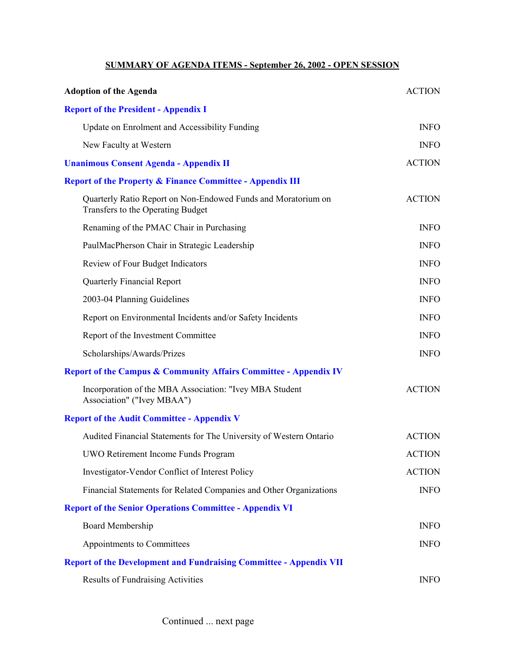### **SUMMARY OF AGENDA ITEMS - September 26, 2002 - OPEN SESSION**

<span id="page-1-0"></span>

| <b>Adoption of the Agenda</b>                                                                      | <b>ACTION</b> |
|----------------------------------------------------------------------------------------------------|---------------|
| <b>Report of the President - Appendix I</b>                                                        |               |
| Update on Enrolment and Accessibility Funding                                                      | <b>INFO</b>   |
| New Faculty at Western                                                                             | <b>INFO</b>   |
| <b>Unanimous Consent Agenda - Appendix II</b>                                                      | <b>ACTION</b> |
| <b>Report of the Property &amp; Finance Committee - Appendix III</b>                               |               |
| Quarterly Ratio Report on Non-Endowed Funds and Moratorium on<br>Transfers to the Operating Budget | <b>ACTION</b> |
| Renaming of the PMAC Chair in Purchasing                                                           | <b>INFO</b>   |
| PaulMacPherson Chair in Strategic Leadership                                                       | <b>INFO</b>   |
| Review of Four Budget Indicators                                                                   | <b>INFO</b>   |
| <b>Quarterly Financial Report</b>                                                                  | <b>INFO</b>   |
| 2003-04 Planning Guidelines                                                                        | <b>INFO</b>   |
| Report on Environmental Incidents and/or Safety Incidents                                          | <b>INFO</b>   |
| Report of the Investment Committee                                                                 | <b>INFO</b>   |
| Scholarships/Awards/Prizes                                                                         | <b>INFO</b>   |
| <b>Report of the Campus &amp; Community Affairs Committee - Appendix IV</b>                        |               |
| Incorporation of the MBA Association: "Ivey MBA Student<br>Association" ("Ivey MBAA")              | <b>ACTION</b> |
| <b>Report of the Audit Committee - Appendix V</b>                                                  |               |
| Audited Financial Statements for The University of Western Ontario                                 | <b>ACTION</b> |
| UWO Retirement Income Funds Program                                                                | <b>ACTION</b> |
| Investigator-Vendor Conflict of Interest Policy                                                    | <b>ACTION</b> |
| Financial Statements for Related Companies and Other Organizations                                 | <b>INFO</b>   |
| <b>Report of the Senior Operations Committee - Appendix VI</b>                                     |               |
| <b>Board Membership</b>                                                                            | <b>INFO</b>   |
| Appointments to Committees                                                                         | <b>INFO</b>   |
| <b>Report of the Development and Fundraising Committee - Appendix VII</b>                          |               |
| <b>Results of Fundraising Activities</b>                                                           | <b>INFO</b>   |